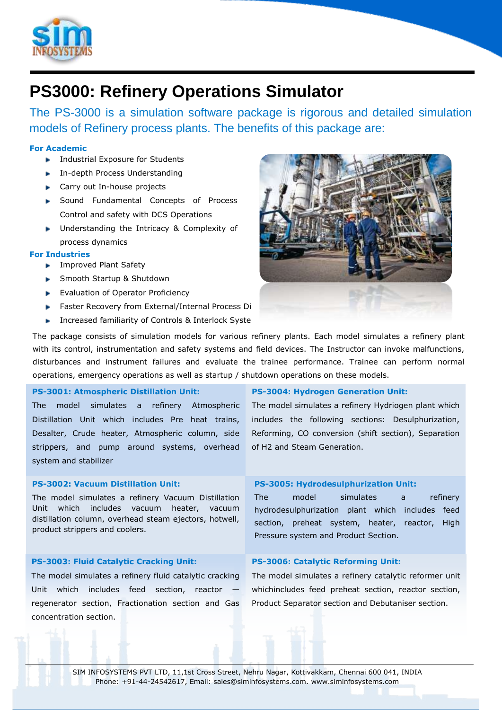

# **PS3000: Refinery Operations Simulator**

The PS-3000 is a simulation software package is rigorous and detailed simulation models of Refinery process plants. The benefits of this package are:

# **For Academic**

- **Industrial Exposure for Students**
- **In-depth Process Understanding**
- **Carry out In-house projects**
- **Sound Fundamental Concepts of Process** Control and safety with DCS Operations
- **Inderstanding the Intricacy & Complexity of** process dynamics

## **For Industries**

- **F** Improved Plant Safety
- **Smooth Startup & Shutdown**
- Evaluation of Operator Proficiency
- Faster Recovery from External/Internal Process Di
- Increased familiarity of Controls & Interlock Systems



The package consists of simulation models for various refinery plants. Each model simulates a refinery plant with its control, instrumentation and safety systems and field devices. The Instructor can invoke malfunctions, disturbances and instrument failures and evaluate the trainee performance. Trainee can perform normal operations, emergency operations as well as startup / shutdown operations on these models.

# **PS-3001: Atmospheric Distillation Unit:**

The model simulates a refinery Atmospheric Distillation Unit which includes Pre heat trains, Desalter, Crude heater, Atmospheric column, side strippers, and pump around systems, overhead system and stabilizer

# **PS-3002: Vacuum Distillation Unit:**

The model simulates a refinery Vacuum Distillation Unit which includes vacuum heater, vacuum distillation column, overhead steam ejectors, hotwell, product strippers and coolers.

## **PS-3003: Fluid Catalytic Cracking Unit:**

The model simulates a refinery fluid catalytic cracking Unit which includes feed section, reactor regenerator section, Fractionation section and Gas concentration section.

## **PS-3004: Hydrogen Generation Unit:**

The model simulates a refinery Hydriogen plant which includes the following sections: Desulphurization, Reforming, CO conversion (shift section), Separation of H2 and Steam Generation.

## **PS-3005: Hydrodesulphurization Unit:**

The model simulates a refinery hydrodesulphurization plant which includes feed section, preheat system, heater, reactor, High Pressure system and Product Section.

# **PS-3006: Catalytic Reforming Unit:**

The model simulates a refinery catalytic reformer unit whichincludes feed preheat section, reactor section, Product Separator section and Debutaniser section.